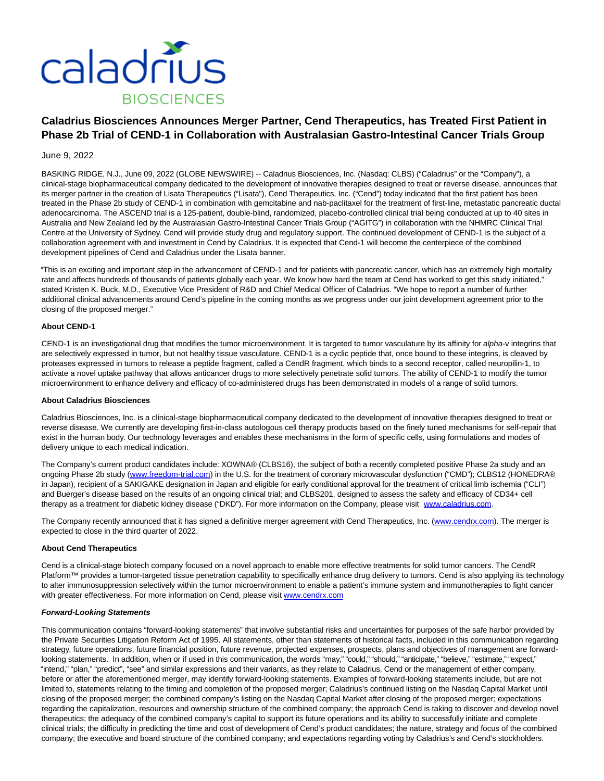

# **Caladrius Biosciences Announces Merger Partner, Cend Therapeutics, has Treated First Patient in Phase 2b Trial of CEND-1 in Collaboration with Australasian Gastro-Intestinal Cancer Trials Group**

# June 9, 2022

BASKING RIDGE, N.J., June 09, 2022 (GLOBE NEWSWIRE) -- Caladrius Biosciences, Inc. (Nasdaq: CLBS) ("Caladrius" or the "Company"), a clinical-stage biopharmaceutical company dedicated to the development of innovative therapies designed to treat or reverse disease, announces that its merger partner in the creation of Lisata Therapeutics ("Lisata"), Cend Therapeutics, Inc. ("Cend") today indicated that the first patient has been treated in the Phase 2b study of CEND-1 in combination with gemcitabine and nab-paclitaxel for the treatment of first-line, metastatic pancreatic ductal adenocarcinoma. The ASCEND trial is a 125-patient, double-blind, randomized, placebo-controlled clinical trial being conducted at up to 40 sites in Australia and New Zealand led by the Australasian Gastro-Intestinal Cancer Trials Group ("AGITG") in collaboration with the NHMRC Clinical Trial Centre at the University of Sydney. Cend will provide study drug and regulatory support. The continued development of CEND-1 is the subject of a collaboration agreement with and investment in Cend by Caladrius. It is expected that Cend-1 will become the centerpiece of the combined development pipelines of Cend and Caladrius under the Lisata banner.

"This is an exciting and important step in the advancement of CEND-1 and for patients with pancreatic cancer, which has an extremely high mortality rate and affects hundreds of thousands of patients globally each year. We know how hard the team at Cend has worked to get this study initiated," stated Kristen K. Buck, M.D., Executive Vice President of R&D and Chief Medical Officer of Caladrius. "We hope to report a number of further additional clinical advancements around Cend's pipeline in the coming months as we progress under our joint development agreement prior to the closing of the proposed merger."

### **About CEND-1**

CEND-1 is an investigational drug that modifies the tumor microenvironment. It is targeted to tumor vasculature by its affinity for alpha-v integrins that are selectively expressed in tumor, but not healthy tissue vasculature. CEND-1 is a cyclic peptide that, once bound to these integrins, is cleaved by proteases expressed in tumors to release a peptide fragment, called a CendR fragment, which binds to a second receptor, called neuropilin-1, to activate a novel uptake pathway that allows anticancer drugs to more selectively penetrate solid tumors. The ability of CEND-1 to modify the tumor microenvironment to enhance delivery and efficacy of co-administered drugs has been demonstrated in models of a range of solid tumors.

#### **About Caladrius Biosciences**

Caladrius Biosciences, Inc. is a clinical-stage biopharmaceutical company dedicated to the development of innovative therapies designed to treat or reverse disease. We currently are developing first-in-class autologous cell therapy products based on the finely tuned mechanisms for self-repair that exist in the human body. Our technology leverages and enables these mechanisms in the form of specific cells, using formulations and modes of delivery unique to each medical indication.

The Company's current product candidates include: XOWNA® (CLBS16), the subject of both a recently completed positive Phase 2a study and an ongoing Phase 2b study [\(www.freedom-trial.com\)](https://www.globenewswire.com/Tracker?data=QeYVReBfFxhpQR_uWLvm6qeonnB7JuOuPVcUxC2B8papRhsZhh3ioyVr9CUNr0vAWjOUBH2wVOiHDyroB9JLXpZBQkMNta28Zem2G2aqfNg=) in the U.S. for the treatment of coronary microvascular dysfunction ("CMD"); CLBS12 (HONEDRA® in Japan), recipient of a SAKIGAKE designation in Japan and eligible for early conditional approval for the treatment of critical limb ischemia ("CLI") and Buerger's disease based on the results of an ongoing clinical trial; and CLBS201, designed to assess the safety and efficacy of CD34+ cell therapy as a treatment for diabetic kidney disease ("DKD"). For more information on the Company, please visit [www.caladrius.com.](https://www.globenewswire.com/Tracker?data=KIMNrPXOrK4LQY2U9EVYFlgwDJOBqLepRy2SX4Vrlr6bhhTfWYy8Qyo9pgJ-uv_8CKYB14GAUEjcNG6sgwFAcA==)

The Company recently announced that it has signed a definitive merger agreement with Cend Therapeutics, Inc. [\(www.cendrx.com\).](https://www.globenewswire.com/Tracker?data=owDrfWttrP0r2Z-tmq-3JU-B59ABh10kEGqEIpWUaPuvFtDy1GKhtlyfnOFhKlKhc3B9t2NnfhhG6eerkGfjRg==) The merger is expected to close in the third quarter of 2022.

#### **About Cend Therapeutics**

Cend is a clinical-stage biotech company focused on a novel approach to enable more effective treatments for solid tumor cancers. The CendR Platform™ provides a tumor-targeted tissue penetration capability to specifically enhance drug delivery to tumors. Cend is also applying its technology to alter immunosuppression selectively within the tumor microenvironment to enable a patient's immune system and immunotherapies to fight cancer with greater effectiveness. For more information on Cend, please visit www.cendrx.com

# **Forward-Looking Statements**

This communication contains "forward-looking statements" that involve substantial risks and uncertainties for purposes of the safe harbor provided by the Private Securities Litigation Reform Act of 1995. All statements, other than statements of historical facts, included in this communication regarding strategy, future operations, future financial position, future revenue, projected expenses, prospects, plans and objectives of management are forwardlooking statements. In addition, when or if used in this communication, the words "may," "could," "anticipate," "believe," "estimate," "expect," "intend," "plan," "predict", "see" and similar expressions and their variants, as they relate to Caladrius, Cend or the management of either company, before or after the aforementioned merger, may identify forward-looking statements. Examples of forward-looking statements include, but are not limited to, statements relating to the timing and completion of the proposed merger; Caladrius's continued listing on the Nasdaq Capital Market until closing of the proposed merger; the combined company's listing on the Nasdaq Capital Market after closing of the proposed merger; expectations regarding the capitalization, resources and ownership structure of the combined company; the approach Cend is taking to discover and develop novel therapeutics; the adequacy of the combined company's capital to support its future operations and its ability to successfully initiate and complete clinical trials; the difficulty in predicting the time and cost of development of Cend's product candidates; the nature, strategy and focus of the combined company; the executive and board structure of the combined company; and expectations regarding voting by Caladrius's and Cend's stockholders.